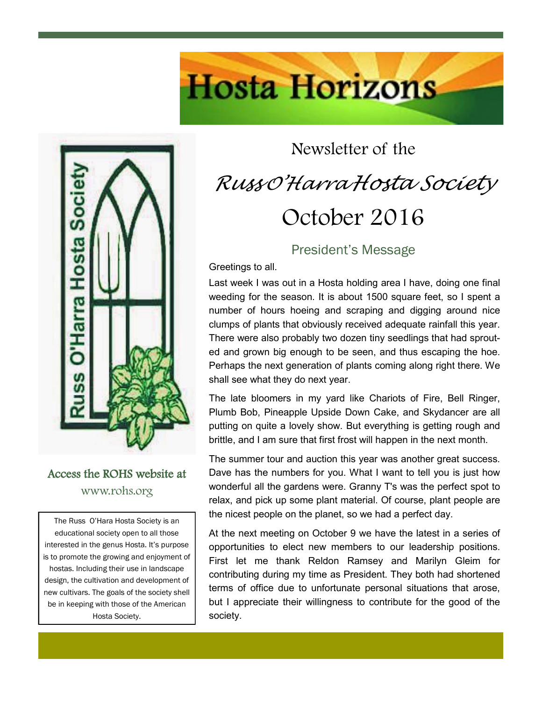

#### Access the ROHS website at www.rohs.org

The Russ O'Hara Hosta Society is an educational society open to all those interested in the genus Hosta. It's purpose is to promote the growing and enjoyment of hostas. Including their use in landscape design, the cultivation and development of new cultivars. The goals of the society shell be in keeping with those of the American Hosta Society.

# Newsletter of the *Russ <sup>O</sup>'Harra Hosta Society* October 2016

**Hosta Horizons** 

#### President's Message

Greetings to all.

Last week I was out in a Hosta holding area I have, doing one final weeding for the season. It is about 1500 square feet, so I spent a number of hours hoeing and scraping and digging around nice clumps of plants that obviously received adequate rainfall this year. There were also probably two dozen tiny seedlings that had sprouted and grown big enough to be seen, and thus escaping the hoe. Perhaps the next generation of plants coming along right there. We shall see what they do next year.

The late bloomers in my yard like Chariots of Fire, Bell Ringer, Plumb Bob, Pineapple Upside Down Cake, and Skydancer are all putting on quite a lovely show. But everything is getting rough and brittle, and I am sure that first frost will happen in the next month.

The summer tour and auction this year was another great success. Dave has the numbers for you. What I want to tell you is just how wonderful all the gardens were. Granny T's was the perfect spot to relax, and pick up some plant material. Of course, plant people are the nicest people on the planet, so we had a perfect day.

At the next meeting on October 9 we have the latest in a series of opportunities to elect new members to our leadership positions. First let me thank Reldon Ramsey and Marilyn Gleim for contributing during my time as President. They both had shortened terms of office due to unfortunate personal situations that arose, but I appreciate their willingness to contribute for the good of the society.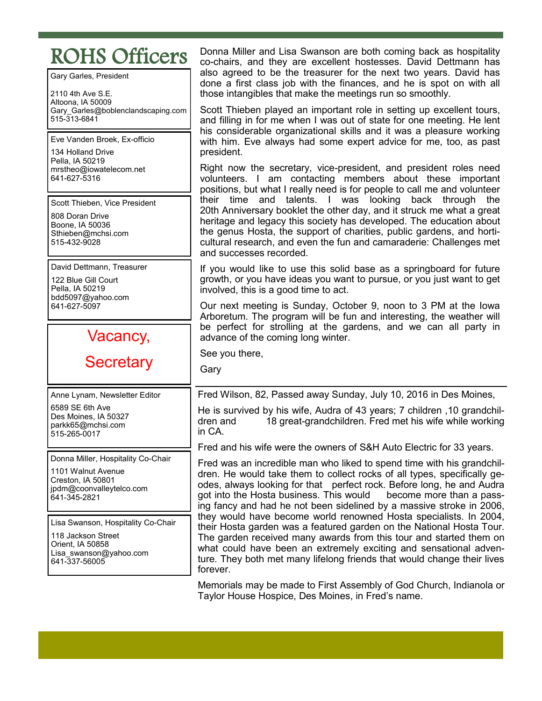## ROHS Officers

Gary Garles, President

2110 4th Ave S.E. Altoona, IA 50009 Gary\_Garles@boblenclandscaping.com 515-313-6841

Eve Vanden Broek, Ex-officio

134 Holland Drive Pella, IA 50219 mrstheo@iowatelecom.net 641-627-5316

Scott Thieben, Vice President

808 Doran Drive Boone, IA 50036 Sthieben@mchsi.com 515-432-9028

David Dettmann, Treasurer

122 Blue Gill Court Pella, IA 50219 bdd5097@yahoo.com 641-627-5097

## Vacancy,

## **Secretary**

Anne Lynam, Newsletter Editor 6589 SE 6th Ave Des Moines, IA 50327 parkk65@mchsi.com 515-265-0017

Donna Miller, Hospitality Co-Chair

1101 Walnut Avenue Creston, IA 50801 jpdm@coonvalleytelco.com 641-345-2821

Lisa Swanson, Hospitality Co-Chair

118 Jackson Street Orient, IA 50858 Lisa swanson@yahoo.com 641-337-56005

Donna Miller and Lisa Swanson are both coming back as hospitality co-chairs, and they are excellent hostesses. David Dettmann has also agreed to be the treasurer for the next two years. David has done a first class job with the finances, and he is spot on with all those intangibles that make the meetings run so smoothly.

Scott Thieben played an important role in setting up excellent tours, and filling in for me when I was out of state for one meeting. He lent his considerable organizational skills and it was a pleasure working with him. Eve always had some expert advice for me, too, as past president.

Right now the secretary, vice-president, and president roles need volunteers. I am contacting members about these important positions, but what I really need is for people to call me and volunteer their time and talents. I was looking back through the 20th Anniversary booklet the other day, and it struck me what a great heritage and legacy this society has developed. The education about the genus Hosta, the support of charities, public gardens, and horticultural research, and even the fun and camaraderie: Challenges met and successes recorded.

If you would like to use this solid base as a springboard for future growth, or you have ideas you want to pursue, or you just want to get involved, this is a good time to act.

Our next meeting is Sunday, October 9, noon to 3 PM at the Iowa Arboretum. The program will be fun and interesting, the weather will be perfect for strolling at the gardens, and we can all party in advance of the coming long winter.

See you there,

Gary

Fred Wilson, 82, Passed away Sunday, July 10, 2016 in Des Moines,

He is survived by his wife, Audra of 43 years; 7 children ,10 grandchildren and 18 great-grandchildren. Fred met his wife while working in CA.

Fred and his wife were the owners of S&H Auto Electric for 33 years.

Fred was an incredible man who liked to spend time with his grandchildren. He would take them to collect rocks of all types, specifically geodes, always looking for that perfect rock. Before long, he and Audra got into the Hosta business. This would become more than a passing fancy and had he not been sidelined by a massive stroke in 2006, they would have become world renowned Hosta specialists. In 2004, their Hosta garden was a featured garden on the National Hosta Tour. The garden received many awards from this tour and started them on what could have been an extremely exciting and sensational adventure. They both met many lifelong friends that would change their lives forever.

Memorials may be made to First Assembly of God Church, Indianola or Taylor House Hospice, Des Moines, in Fred's name.